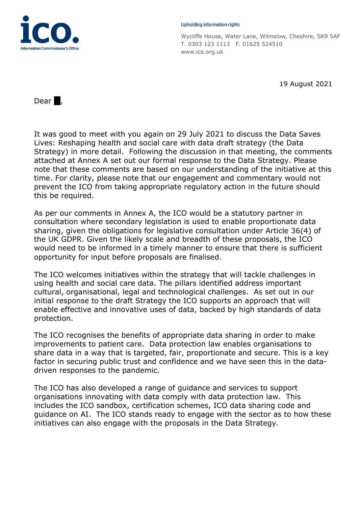

#### Upholding information rights

Wycliffe House, Water Lane, Wilmslow, Cheshire, SK9 5AF T. 0303 123 1113 F. 01625 524510 www.ico.org.uk

19 August 2021

Dear $\blacksquare$ ,

It was good to meet with you again on 29 July 2021 to discuss the Data Saves Lives: Reshaping health and social care with data draft strategy (the Data Strategy) in more detail. Following the discussion in that meeting, the comments attached at Annex A set out our formal response to the Data Strategy. Please note that these comments are based on our understanding of the initiative at this time. For clarity, please note that our engagement and commentary would not prevent the ICO from taking appropriate regulatory action in the future should this be required.

As per our comments in Annex A, the ICO would be a statutory partner in consultation where secondary legislation is used to enable proportionate data sharing, given the obligations for legislative consultation under Article 36(4) of the UK GDPR. Given the likely scale and breadth of these proposals, the ICO would need to be informed in a timely manner to ensure that there is sufficient opportunity for input before proposals are finalised.

The ICO welcomes initiatives within the strategy that will tackle challenges in using health and social care data. The pillars identified address important cultural, organisational, legal and technological challenges. As set out in our initial response to the draft Strategy the ICO supports an approach that will enable effective and innovative uses of data, backed by high standards of data protection.

The ICO recognises the benefits of appropriate data sharing in order to make improvements to patient care. Data protection law enables organisations to share data in a way that is targeted, fair, proportionate and secure. This is a key factor in securing public trust and confidence and we have seen this in the datadriven responses to the pandemic.

The ICO has also developed a range of guidance and services to support organisations innovating with data comply with data protection law. This includes the ICO sandbox, certification schemes, ICO data sharing code and guidance on AI. The ICO stands ready to engage with the sector as to how these initiatives can also engage with the proposals in the Data Strategy.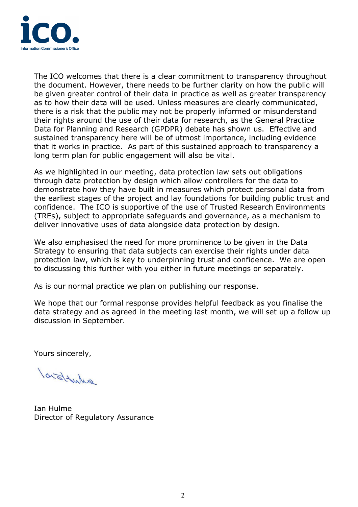

The ICO welcomes that there is a clear commitment to transparency throughout the document. However, there needs to be further clarity on how the public will be given greater control of their data in practice as well as greater transparency as to how their data will be used. Unless measures are clearly communicated, there is a risk that the public may not be properly informed or misunderstand their rights around the use of their data for research, as the General Practice Data for Planning and Research (GPDPR) debate has shown us. Effective and sustained transparency here will be of utmost importance, including evidence that it works in practice. As part of this sustained approach to transparency a long term plan for public engagement will also be vital.

As we highlighted in our meeting, data protection law sets out obligations through data protection by design which allow controllers for the data to demonstrate how they have built in measures which protect personal data from the earliest stages of the project and lay foundations for building public trust and confidence. The ICO is supportive of the use of Trusted Research Environments (TREs), subject to appropriate safeguards and governance, as a mechanism to deliver innovative uses of data alongside data protection by design.

We also emphasised the need for more prominence to be given in the Data Strategy to ensuring that data subjects can exercise their rights under data protection law, which is key to underpinning trust and confidence. We are open to discussing this further with you either in future meetings or separately.

As is our normal practice we plan on publishing our response.

We hope that our formal response provides helpful feedback as you finalise the data strategy and as agreed in the meeting last month, we will set up a follow up discussion in September.

Yours sincerely,

larstowns

Ian Hulme Director of Regulatory Assurance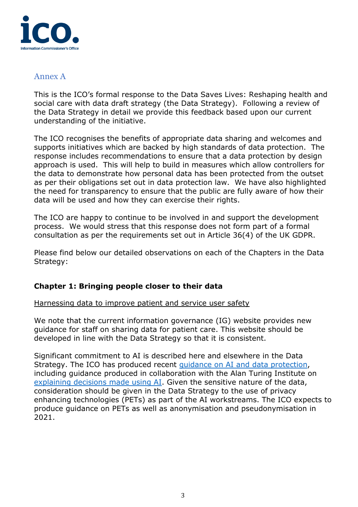

# Annex A

This is the ICO's formal response to the Data Saves Lives: Reshaping health and social care with data draft strategy (the Data Strategy). Following a review of the Data Strategy in detail we provide this feedback based upon our current understanding of the initiative.

The ICO recognises the benefits of appropriate data sharing and welcomes and supports initiatives which are backed by high standards of data protection. The response includes recommendations to ensure that a data protection by design approach is used. This will help to build in measures which allow controllers for the data to demonstrate how personal data has been protected from the outset as per their obligations set out in data protection law. We have also highlighted the need for transparency to ensure that the public are fully aware of how their data will be used and how they can exercise their rights.

The ICO are happy to continue to be involved in and support the development process. We would stress that this response does not form part of a formal consultation as per the requirements set out in Article 36(4) of the UK GDPR.

Please find below our detailed observations on each of the Chapters in the Data Strategy:

# **Chapter 1: Bringing people closer to their data**

#### Harnessing data to improve patient and service user safety

We note that the current information governance (IG) website provides new guidance for staff on sharing data for patient care. This website should be developed in line with the Data Strategy so that it is consistent.

Significant commitment to AI is described here and elsewhere in the Data Strategy. The ICO has produced recent guidance on AI [and data protection,](https://ico.org.uk/for-organisations/guide-to-data-protection/key-data-protection-themes/guidance-on-ai-and-data-protection/) including guidance produced in collaboration with the Alan Turing Institute on [explaining decisions made](https://ico.org.uk/for-organisations/guide-to-data-protection/key-data-protection-themes/explaining-decisions-made-with-artificial-intelligence/) using AI. Given the sensitive nature of the data, consideration should be given in the Data Strategy to the use of privacy enhancing technologies (PETs) as part of the AI workstreams. The ICO expects to produce guidance on PETs as well as anonymisation and pseudonymisation in 2021.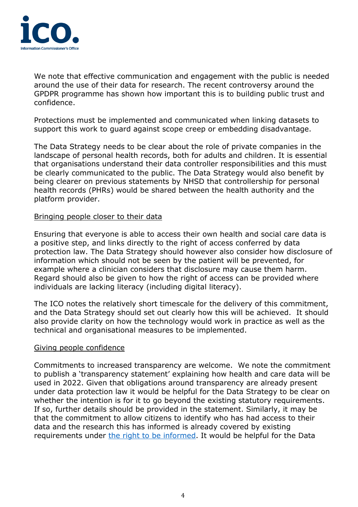

We note that effective communication and engagement with the public is needed around the use of their data for research. The recent controversy around the GPDPR programme has shown how important this is to building public trust and confidence.

Protections must be implemented and communicated when linking datasets to support this work to guard against scope creep or embedding disadvantage.

The Data Strategy needs to be clear about the role of private companies in the landscape of personal health records, both for adults and children. It is essential that organisations understand their data controller responsibilities and this must be clearly communicated to the public. The Data Strategy would also benefit by being clearer on previous statements by NHSD that controllership for personal health records (PHRs) would be shared between the health authority and the platform provider.

### Bringing people closer to their data

Ensuring that everyone is able to access their own health and social care data is a positive step, and links directly to the right of access conferred by data protection law. The Data Strategy should however also consider how disclosure of information which should not be seen by the patient will be prevented, for example where a clinician considers that disclosure may cause them harm. Regard should also be given to how the right of access can be provided where individuals are lacking literacy (including digital literacy).

The ICO notes the relatively short timescale for the delivery of this commitment, and the Data Strategy should set out clearly how this will be achieved. It should also provide clarity on how the technology would work in practice as well as the technical and organisational measures to be implemented.

# Giving people confidence

Commitments to increased transparency are welcome. We note the commitment to publish a 'transparency statement' explaining how health and care data will be used in 2022. Given that obligations around transparency are already present under data protection law it would be helpful for the Data Strategy to be clear on whether the intention is for it to go beyond the existing statutory requirements. If so, further details should be provided in the statement. Similarly, it may be that the commitment to allow citizens to identify who has had access to their data and the research this has informed is already covered by existing requirements under [the right to be informed.](https://eur03.safelinks.protection.outlook.com/?url=https%3A%2F%2Fico.org.uk%2Ffor-organisations%2Fguide-to-data-protection%2Fguide-to-the-general-data-protection-regulation-gdpr%2Findividual-rights%2Fright-to-be-informed%2F&data=04%7C01%7Canne.russell%40ico.org.uk%7C2d0650ad65764d57a43008d946212efa%7C501293238fab4000adc1c4cfebfa21e6%7C1%7C0%7C637617930592693954%7CUnknown%7CTWFpbGZsb3d8eyJWIjoiMC4wLjAwMDAiLCJQIjoiV2luMzIiLCJBTiI6Ik1haWwiLCJXVCI6Mn0%3D%7C1000&sdata=W9RmNdm9nX%2BfRCKHs7WPGtAao9WqpzgKZpURZMVAAbY%3D&reserved=0) It would be helpful for the Data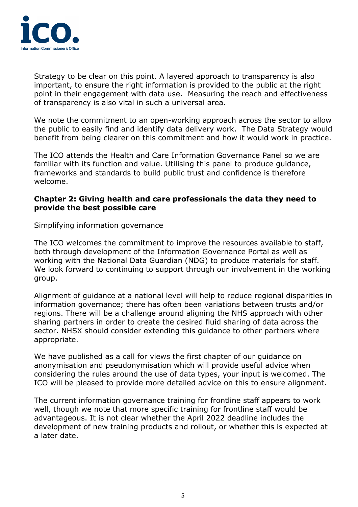

Strategy to be clear on this point. A layered approach to transparency is also important, to ensure the right information is provided to the public at the right point in their engagement with data use. Measuring the reach and effectiveness of transparency is also vital in such a universal area.

We note the commitment to an open-working approach across the sector to allow the public to easily find and identify data delivery work. The Data Strategy would benefit from being clearer on this commitment and how it would work in practice.

The ICO attends the Health and Care Information Governance Panel so we are familiar with its function and value. Utilising this panel to produce guidance, frameworks and standards to build public trust and confidence is therefore welcome.

# **Chapter 2: Giving health and care professionals the data they need to provide the best possible care**

# Simplifying information governance

The ICO welcomes the commitment to improve the resources available to staff, both through development of the Information Governance Portal as well as working with the National Data Guardian (NDG) to produce materials for staff. We look forward to continuing to support through our involvement in the working group.

Alignment of guidance at a national level will help to reduce regional disparities in information governance; there has often been variations between trusts and/or regions. There will be a challenge around aligning the NHS approach with other sharing partners in order to create the desired fluid sharing of data across the sector. NHSX should consider extending this guidance to other partners where appropriate.

We have published as a call for views the first chapter of our guidance on anonymisation and pseudonymisation which will provide useful advice when considering the rules around the use of data types, your input is welcomed. The ICO will be pleased to provide more detailed advice on this to ensure alignment.

The current information governance training for frontline staff appears to work well, though we note that more specific training for frontline staff would be advantageous. It is not clear whether the April 2022 deadline includes the development of new training products and rollout, or whether this is expected at a later date.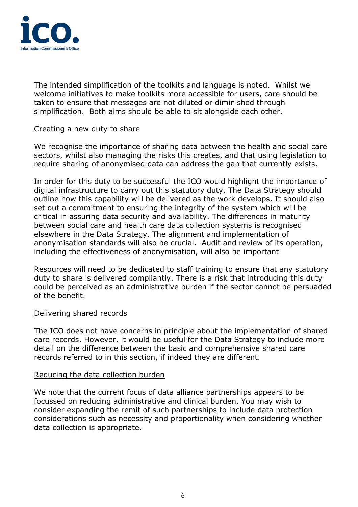

The intended simplification of the toolkits and language is noted. Whilst we welcome initiatives to make toolkits more accessible for users, care should be taken to ensure that messages are not diluted or diminished through simplification. Both aims should be able to sit alongside each other.

### Creating a new duty to share

We recognise the importance of sharing data between the health and social care sectors, whilst also managing the risks this creates, and that using legislation to require sharing of anonymised data can address the gap that currently exists.

In order for this duty to be successful the ICO would highlight the importance of digital infrastructure to carry out this statutory duty. The Data Strategy should outline how this capability will be delivered as the work develops. It should also set out a commitment to ensuring the integrity of the system which will be critical in assuring data security and availability. The differences in maturity between social care and health care data collection systems is recognised elsewhere in the Data Strategy. The alignment and implementation of anonymisation standards will also be crucial. Audit and review of its operation, including the effectiveness of anonymisation, will also be important

Resources will need to be dedicated to staff training to ensure that any statutory duty to share is delivered compliantly. There is a risk that introducing this duty could be perceived as an administrative burden if the sector cannot be persuaded of the benefit.

#### Delivering shared records

The ICO does not have concerns in principle about the implementation of shared care records. However, it would be useful for the Data Strategy to include more detail on the difference between the basic and comprehensive shared care records referred to in this section, if indeed they are different.

#### Reducing the data collection burden

We note that the current focus of data alliance partnerships appears to be focussed on reducing administrative and clinical burden. You may wish to consider expanding the remit of such partnerships to include data protection considerations such as necessity and proportionality when considering whether data collection is appropriate.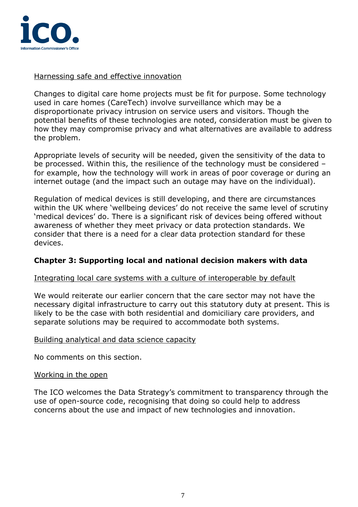

Harnessing safe and effective innovation

Changes to digital care home projects must be fit for purpose. Some technology used in care homes (CareTech) involve surveillance which may be a disproportionate privacy intrusion on service users and visitors. Though the potential benefits of these technologies are noted, consideration must be given to how they may compromise privacy and what alternatives are available to address the problem.

Appropriate levels of security will be needed, given the sensitivity of the data to be processed. Within this, the resilience of the technology must be considered – for example, how the technology will work in areas of poor coverage or during an internet outage (and the impact such an outage may have on the individual).

Regulation of medical devices is still developing, and there are circumstances within the UK where 'wellbeing devices' do not receive the same level of scrutiny 'medical devices' do. There is a significant risk of devices being offered without awareness of whether they meet privacy or data protection standards. We consider that there is a need for a clear data protection standard for these devices.

# **Chapter 3: Supporting local and national decision makers with data**

# Integrating local care systems with a culture of interoperable by default

We would reiterate our earlier concern that the care sector may not have the necessary digital infrastructure to carry out this statutory duty at present. This is likely to be the case with both residential and domiciliary care providers, and separate solutions may be required to accommodate both systems.

# Building analytical and data science capacity

No comments on this section.

# Working in the open

The ICO welcomes the Data Strategy's commitment to transparency through the use of open-source code, recognising that doing so could help to address concerns about the use and impact of new technologies and innovation.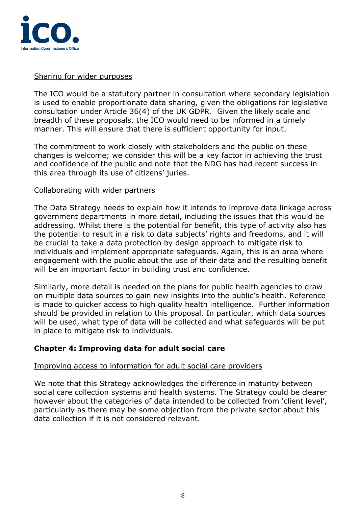

# Sharing for wider purposes

The ICO would be a statutory partner in consultation where secondary legislation is used to enable proportionate data sharing, given the obligations for legislative consultation under Article 36(4) of the UK GDPR. Given the likely scale and breadth of these proposals, the ICO would need to be informed in a timely manner. This will ensure that there is sufficient opportunity for input.

The commitment to work closely with stakeholders and the public on these changes is welcome; we consider this will be a key factor in achieving the trust and confidence of the public and note that the NDG has had recent success in this area through its use of citizens' juries.

### Collaborating with wider partners

The Data Strategy needs to explain how it intends to improve data linkage across government departments in more detail, including the issues that this would be addressing. Whilst there is the potential for benefit, this type of activity also has the potential to result in a risk to data subjects' rights and freedoms, and it will be crucial to take a data protection by design approach to mitigate risk to individuals and implement appropriate safeguards. Again, this is an area where engagement with the public about the use of their data and the resulting benefit will be an important factor in building trust and confidence.

Similarly, more detail is needed on the plans for public health agencies to draw on multiple data sources to gain new insights into the public's health. Reference is made to quicker access to high quality health intelligence. Further information should be provided in relation to this proposal. In particular, which data sources will be used, what type of data will be collected and what safeguards will be put in place to mitigate risk to individuals.

# **Chapter 4: Improving data for adult social care**

#### Improving access to information for adult social care providers

We note that this Strategy acknowledges the difference in maturity between social care collection systems and health systems. The Strategy could be clearer however about the categories of data intended to be collected from 'client level', particularly as there may be some objection from the private sector about this data collection if it is not considered relevant.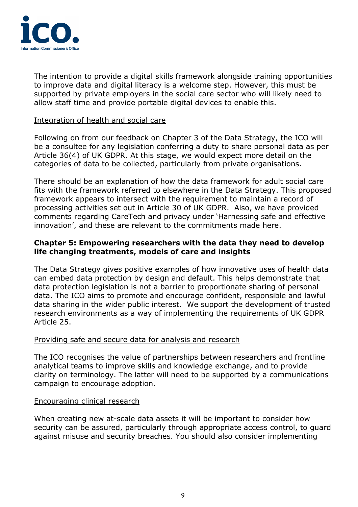

The intention to provide a digital skills framework alongside training opportunities to improve data and digital literacy is a welcome step. However, this must be supported by private employers in the social care sector who will likely need to allow staff time and provide portable digital devices to enable this.

### Integration of health and social care

Following on from our feedback on Chapter 3 of the Data Strategy, the ICO will be a consultee for any legislation conferring a duty to share personal data as per Article 36(4) of UK GDPR. At this stage, we would expect more detail on the categories of data to be collected, particularly from private organisations.

There should be an explanation of how the data framework for adult social care fits with the framework referred to elsewhere in the Data Strategy. This proposed framework appears to intersect with the requirement to maintain a record of processing activities set out in Article 30 of UK GDPR. Also, we have provided comments regarding CareTech and privacy under 'Harnessing safe and effective innovation', and these are relevant to the commitments made here.

# **Chapter 5: Empowering researchers with the data they need to develop life changing treatments, models of care and insights**

The Data Strategy gives positive examples of how innovative uses of health data can embed data protection by design and default. This helps demonstrate that data protection legislation is not a barrier to proportionate sharing of personal data. The ICO aims to promote and encourage confident, responsible and lawful data sharing in the wider public interest. We support the development of trusted research environments as a way of implementing the requirements of UK GDPR Article 25.

# Providing safe and secure data for analysis and research

The ICO recognises the value of partnerships between researchers and frontline analytical teams to improve skills and knowledge exchange, and to provide clarity on terminology. The latter will need to be supported by a communications campaign to encourage adoption.

#### Encouraging clinical research

When creating new at-scale data assets it will be important to consider how security can be assured, particularly through appropriate access control, to guard against misuse and security breaches. You should also consider implementing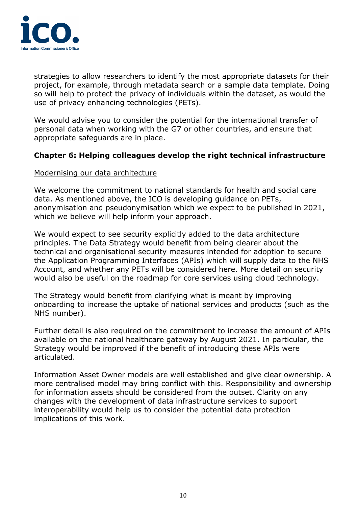

strategies to allow researchers to identify the most appropriate datasets for their project, for example, through metadata search or a sample data template. Doing so will help to protect the privacy of individuals within the dataset, as would the use of privacy enhancing technologies (PETs).

We would advise you to consider the potential for the international transfer of personal data when working with the G7 or other countries, and ensure that appropriate safeguards are in place.

# **Chapter 6: Helping colleagues develop the right technical infrastructure**

### Modernising our data architecture

We welcome the commitment to national standards for health and social care data. As mentioned above, the ICO is developing guidance on PETs, anonymisation and pseudonymisation which we expect to be published in 2021, which we believe will help inform your approach.

We would expect to see security explicitly added to the data architecture principles. The Data Strategy would benefit from being clearer about the technical and organisational security measures intended for adoption to secure the Application Programming Interfaces (APIs) which will supply data to the NHS Account, and whether any PETs will be considered here. More detail on security would also be useful on the roadmap for core services using cloud technology.

The Strategy would benefit from clarifying what is meant by improving onboarding to increase the uptake of national services and products (such as the NHS number).

Further detail is also required on the commitment to increase the amount of APIs available on the national healthcare gateway by August 2021. In particular, the Strategy would be improved if the benefit of introducing these APIs were articulated.

Information Asset Owner models are well established and give clear ownership. A more centralised model may bring conflict with this. Responsibility and ownership for information assets should be considered from the outset. Clarity on any changes with the development of data infrastructure services to support interoperability would help us to consider the potential data protection implications of this work.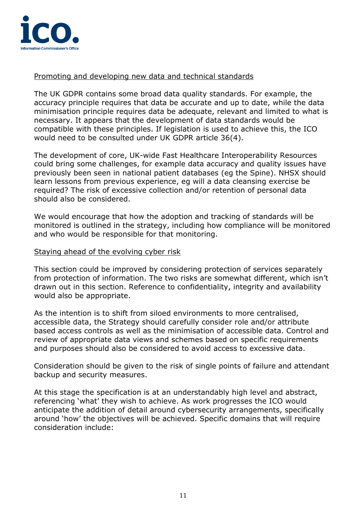

# Promoting and developing new data and technical standards

The UK GDPR contains some broad data quality standards. For example, the accuracy principle requires that data be accurate and up to date, while the data minimisation principle requires data be adequate, relevant and limited to what is necessary. It appears that the development of data standards would be compatible with these principles. If legislation is used to achieve this, the ICO would need to be consulted under UK GDPR article 36(4).

The development of core, UK-wide Fast Healthcare Interoperability Resources could bring some challenges, for example data accuracy and quality issues have previously been seen in national patient databases (eg the Spine). NHSX should learn lessons from previous experience, eg will a data cleansing exercise be required? The risk of excessive collection and/or retention of personal data should also be considered.

We would encourage that how the adoption and tracking of standards will be monitored is outlined in the strategy, including how compliance will be monitored and who would be responsible for that monitoring.

### Staying ahead of the evolving cyber risk

This section could be improved by considering protection of services separately from protection of information. The two risks are somewhat different, which isn't drawn out in this section. Reference to confidentiality, integrity and availability would also be appropriate.

As the intention is to shift from siloed environments to more centralised, accessible data, the Strategy should carefully consider role and/or attribute based access controls as well as the minimisation of accessible data. Control and review of appropriate data views and schemes based on specific requirements and purposes should also be considered to avoid access to excessive data.

Consideration should be given to the risk of single points of failure and attendant backup and security measures.

At this stage the specification is at an understandably high level and abstract, referencing 'what' they wish to achieve. As work progresses the ICO would anticipate the addition of detail around cybersecurity arrangements, specifically around 'how' the objectives will be achieved. Specific domains that will require consideration include: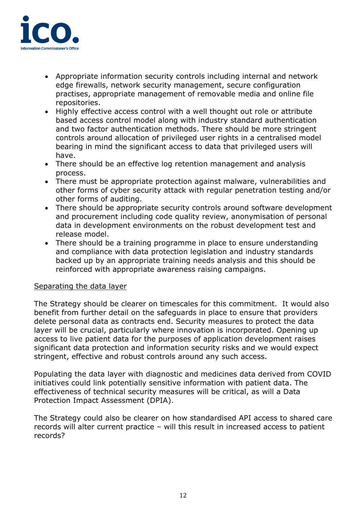

- Appropriate information security controls including internal and network edge firewalls, network security management, secure configuration practises, appropriate management of removable media and online file repositories.
- Highly effective access control with a well thought out role or attribute based access control model along with industry standard authentication and two factor authentication methods. There should be more stringent controls around allocation of privileged user rights in a centralised model bearing in mind the significant access to data that privileged users will have.
- There should be an effective log retention management and analysis process.
- There must be appropriate protection against malware, vulnerabilities and other forms of cyber security attack with regular penetration testing and/or other forms of auditing.
- There should be appropriate security controls around software development and procurement including code quality review, anonymisation of personal data in development environments on the robust development test and release model.
- There should be a training programme in place to ensure understanding and compliance with data protection legislation and industry standards backed up by an appropriate training needs analysis and this should be reinforced with appropriate awareness raising campaigns.

# Separating the data layer

The Strategy should be clearer on timescales for this commitment. It would also benefit from further detail on the safeguards in place to ensure that providers delete personal data as contracts end. Security measures to protect the data layer will be crucial, particularly where innovation is incorporated. Opening up access to live patient data for the purposes of application development raises significant data protection and information security risks and we would expect stringent, effective and robust controls around any such access.

Populating the data layer with diagnostic and medicines data derived from COVID initiatives could link potentially sensitive information with patient data. The effectiveness of technical security measures will be critical, as will a Data Protection Impact Assessment (DPIA).

The Strategy could also be clearer on how standardised API access to shared care records will alter current practice – will this result in increased access to patient records?